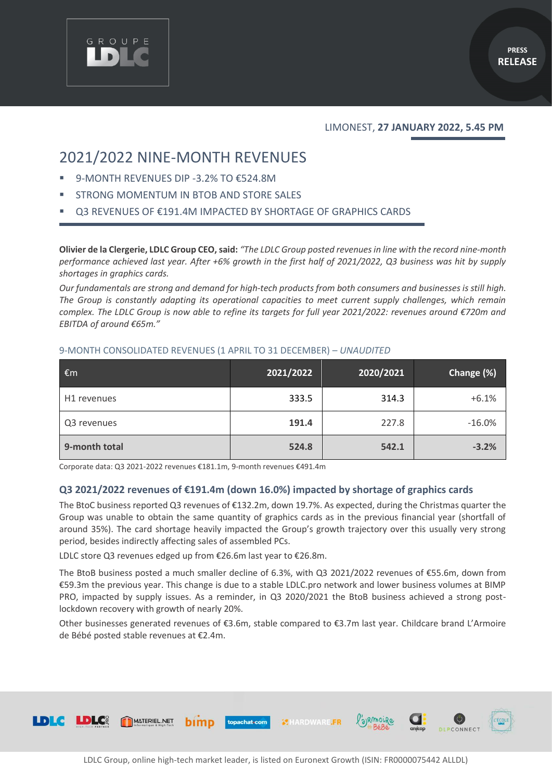

## LIMONEST, **27 JANUARY 2022, 5.45 PM**

# 2021/2022 NINE-MONTH REVENUES

9-MONTH REVENUES DIP -3.2% TO €524.8M

GROUPE

- STRONG MOMENTUM IN BTOB AND STORE SALES
- Q3 REVENUES OF €191.4M IMPACTED BY SHORTAGE OF GRAPHICS CARDS

**Olivier de la Clergerie, LDLC Group CEO, said:** *"The LDLC Group posted revenues in line with the record nine-month performance achieved last year. After +6% growth in the first half of 2021/2022, Q3 business was hit by supply shortages in graphics cards.*

*Our fundamentals are strong and demand for high-tech products from both consumers and businesses is still high. The Group is constantly adapting its operational capacities to meet current supply challenges, which remain complex. The LDLC Group is now able to refine its targets for full year 2021/2022: revenues around €720m and EBITDA of around €65m."*

## 9-MONTH CONSOLIDATED REVENUES (1 APRIL TO 31 DECEMBER) – *UNAUDITED*

| €m            | 2021/2022 | 2020/2021 | Change (%) |
|---------------|-----------|-----------|------------|
| H1 revenues   | 333.5     | 314.3     | $+6.1%$    |
| Q3 revenues   | 191.4     | 227.8     | $-16.0%$   |
| 9-month total | 524.8     | 542.1     | $-3.2%$    |

Corporate data: Q3 2021-2022 revenues €181.1m, 9-month revenues €491.4m

## **Q3 2021/2022 revenues of €191.4m (down 16.0%) impacted by shortage of graphics cards**

The BtoC business reported Q3 revenues of €132.2m, down 19.7%. As expected, during the Christmas quarter the Group was unable to obtain the same quantity of graphics cards as in the previous financial year (shortfall of around 35%). The card shortage heavily impacted the Group's growth trajectory over this usually very strong period, besides indirectly affecting sales of assembled PCs.

LDLC store Q3 revenues edged up from €26.6m last year to €26.8m.

The BtoB business posted a much smaller decline of 6.3%, with Q3 2021/2022 revenues of €55.6m, down from €59.3m the previous year. This change is due to a stable LDLC.pro network and lower business volumes at BIMP PRO, impacted by supply issues. As a reminder, in Q3 2020/2021 the BtoB business achieved a strong postlockdown recovery with growth of nearly 20%.

Other businesses generated revenues of €3.6m, stable compared to €3.7m last year. Childcare brand L'Armoire de Bébé posted stable revenues at €2.4m.